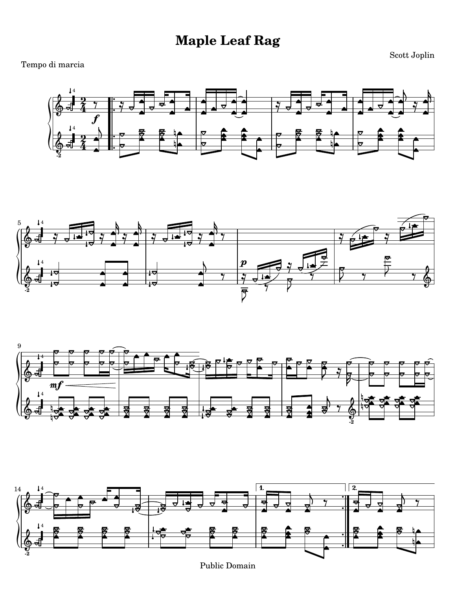## **Maple Leaf Rag**

## Tempo di marcia

Scott Joplin









Public Domain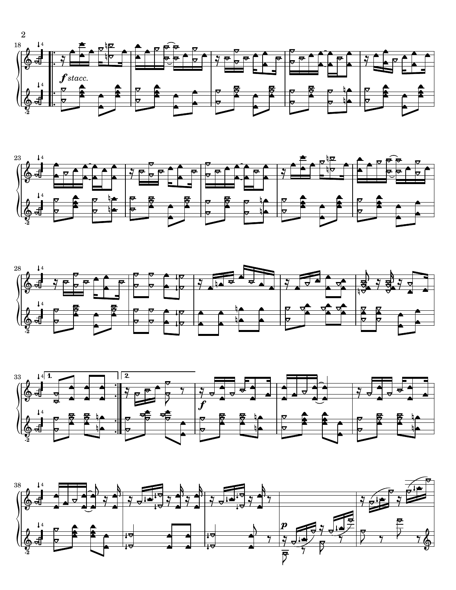







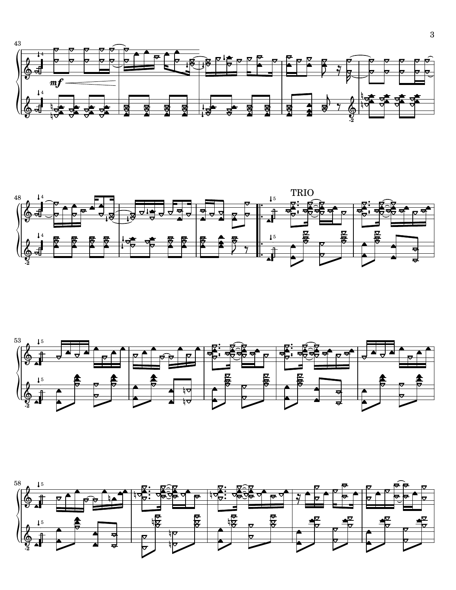